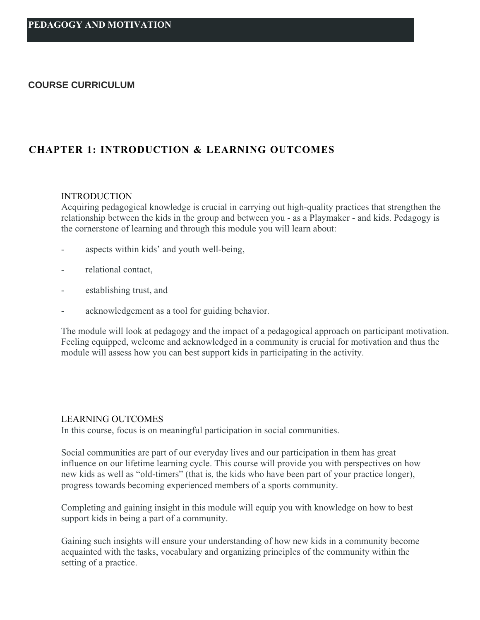### **COURSE CURRICULUM**

# **CHAPTER 1: INTRODUCTION & LEARNING OUTCOMES**

#### **INTRODUCTION**

Acquiring pedagogical knowledge is crucial in carrying out high-quality practices that strengthen the relationship between the kids in the group and between you - as a Playmaker - and kids. Pedagogy is the cornerstone of learning and through this module you will learn about:

- aspects within kids' and youth well-being,
- relational contact,
- establishing trust, and
- acknowledgement as a tool for guiding behavior.

The module will look at pedagogy and the impact of a pedagogical approach on participant motivation. Feeling equipped, welcome and acknowledged in a community is crucial for motivation and thus the module will assess how you can best support kids in participating in the activity.

#### LEARNING OUTCOMES

In this course, focus is on meaningful participation in social communities.

Social communities are part of our everyday lives and our participation in them has great influence on our lifetime learning cycle. This course will provide you with perspectives on how new kids as well as "old-timers" (that is, the kids who have been part of your practice longer), progress towards becoming experienced members of a sports community.

Completing and gaining insight in this module will equip you with knowledge on how to best support kids in being a part of a community.

Gaining such insights will ensure your understanding of how new kids in a community become acquainted with the tasks, vocabulary and organizing principles of the community within the setting of a practice.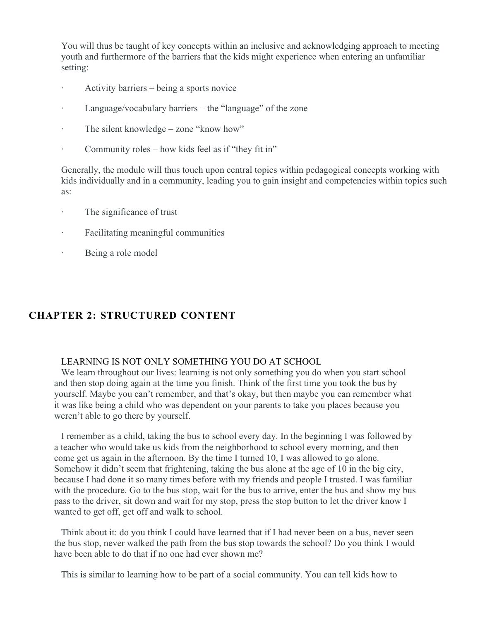You will thus be taught of key concepts within an inclusive and acknowledging approach to meeting youth and furthermore of the barriers that the kids might experience when entering an unfamiliar setting:

- · Activity barriers being a sports novice
- Language/vocabulary barriers the "language" of the zone
- · The silent knowledge zone "know how"
- Community roles how kids feel as if "they fit in"

Generally, the module will thus touch upon central topics within pedagogical concepts working with kids individually and in a community, leading you to gain insight and competencies within topics such as:

- The significance of trust
- · Facilitating meaningful communities
- · Being a role model

# **CHAPTER 2: STRUCTURED CONTENT**

## LEARNING IS NOT ONLY SOMETHING YOU DO AT SCHOOL

We learn throughout our lives: learning is not only something you do when you start school and then stop doing again at the time you finish. Think of the first time you took the bus by yourself. Maybe you can't remember, and that's okay, but then maybe you can remember what it was like being a child who was dependent on your parents to take you places because you weren't able to go there by yourself.

I remember as a child, taking the bus to school every day. In the beginning I was followed by a teacher who would take us kids from the neighborhood to school every morning, and then come get us again in the afternoon. By the time I turned 10, I was allowed to go alone. Somehow it didn't seem that frightening, taking the bus alone at the age of 10 in the big city, because I had done it so many times before with my friends and people I trusted. I was familiar with the procedure. Go to the bus stop, wait for the bus to arrive, enter the bus and show my bus pass to the driver, sit down and wait for my stop, press the stop button to let the driver know I wanted to get off, get off and walk to school.

Think about it: do you think I could have learned that if I had never been on a bus, never seen the bus stop, never walked the path from the bus stop towards the school? Do you think I would have been able to do that if no one had ever shown me?

This is similar to learning how to be part of a social community. You can tell kids how to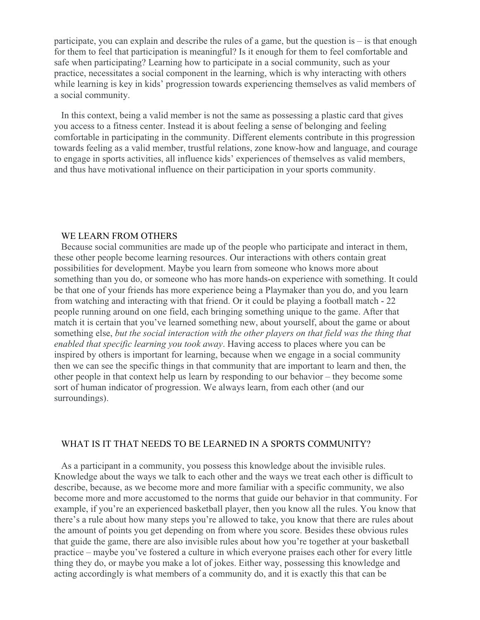participate, you can explain and describe the rules of a game, but the question is – is that enough for them to feel that participation is meaningful? Is it enough for them to feel comfortable and safe when participating? Learning how to participate in a social community, such as your practice, necessitates a social component in the learning, which is why interacting with others while learning is key in kids' progression towards experiencing themselves as valid members of a social community.

In this context, being a valid member is not the same as possessing a plastic card that gives you access to a fitness center. Instead it is about feeling a sense of belonging and feeling comfortable in participating in the community. Different elements contribute in this progression towards feeling as a valid member, trustful relations, zone know-how and language, and courage to engage in sports activities, all influence kids' experiences of themselves as valid members, and thus have motivational influence on their participation in your sports community.

#### WE LEARN FROM OTHERS

Because social communities are made up of the people who participate and interact in them, these other people become learning resources. Our interactions with others contain great possibilities for development. Maybe you learn from someone who knows more about something than you do, or someone who has more hands-on experience with something. It could be that one of your friends has more experience being a Playmaker than you do, and you learn from watching and interacting with that friend. Or it could be playing a football match - 22 people running around on one field, each bringing something unique to the game. After that match it is certain that you've learned something new, about yourself, about the game or about something else, *but the social interaction with the other players on that field was the thing that enabled that specific learning you took away*. Having access to places where you can be inspired by others is important for learning, because when we engage in a social community then we can see the specific things in that community that are important to learn and then, the other people in that context help us learn by responding to our behavior – they become some sort of human indicator of progression. We always learn, from each other (and our surroundings).

#### WHAT IS IT THAT NEEDS TO BE LEARNED IN A SPORTS COMMUNITY?

As a participant in a community, you possess this knowledge about the invisible rules. Knowledge about the ways we talk to each other and the ways we treat each other is difficult to describe, because, as we become more and more familiar with a specific community, we also become more and more accustomed to the norms that guide our behavior in that community. For example, if you're an experienced basketball player, then you know all the rules. You know that there's a rule about how many steps you're allowed to take, you know that there are rules about the amount of points you get depending on from where you score. Besides these obvious rules that guide the game, there are also invisible rules about how you're together at your basketball practice – maybe you've fostered a culture in which everyone praises each other for every little thing they do, or maybe you make a lot of jokes. Either way, possessing this knowledge and acting accordingly is what members of a community do, and it is exactly this that can be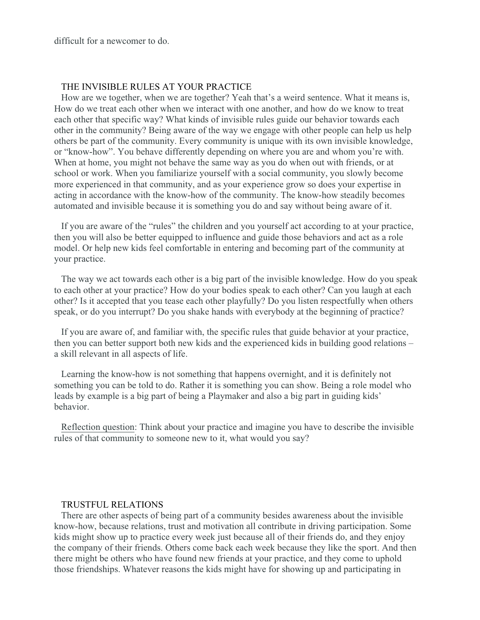difficult for a newcomer to do.

### THE INVISIBLE RULES AT YOUR PRACTICE

How are we together, when we are together? Yeah that's a weird sentence. What it means is, How do we treat each other when we interact with one another, and how do we know to treat each other that specific way? What kinds of invisible rules guide our behavior towards each other in the community? Being aware of the way we engage with other people can help us help others be part of the community. Every community is unique with its own invisible knowledge, or "know-how". You behave differently depending on where you are and whom you're with. When at home, you might not behave the same way as you do when out with friends, or at school or work. When you familiarize yourself with a social community, you slowly become more experienced in that community, and as your experience grow so does your expertise in acting in accordance with the know-how of the community. The know-how steadily becomes automated and invisible because it is something you do and say without being aware of it.

If you are aware of the "rules" the children and you yourself act according to at your practice, then you will also be better equipped to influence and guide those behaviors and act as a role model. Or help new kids feel comfortable in entering and becoming part of the community at your practice.

The way we act towards each other is a big part of the invisible knowledge. How do you speak to each other at your practice? How do your bodies speak to each other? Can you laugh at each other? Is it accepted that you tease each other playfully? Do you listen respectfully when others speak, or do you interrupt? Do you shake hands with everybody at the beginning of practice?

If you are aware of, and familiar with, the specific rules that guide behavior at your practice, then you can better support both new kids and the experienced kids in building good relations – a skill relevant in all aspects of life.

Learning the know-how is not something that happens overnight, and it is definitely not something you can be told to do. Rather it is something you can show. Being a role model who leads by example is a big part of being a Playmaker and also a big part in guiding kids' behavior.

Reflection question: Think about your practice and imagine you have to describe the invisible rules of that community to someone new to it, what would you say?

#### TRUSTFUL RELATIONS

There are other aspects of being part of a community besides awareness about the invisible know-how, because relations, trust and motivation all contribute in driving participation. Some kids might show up to practice every week just because all of their friends do, and they enjoy the company of their friends. Others come back each week because they like the sport. And then there might be others who have found new friends at your practice, and they come to uphold those friendships. Whatever reasons the kids might have for showing up and participating in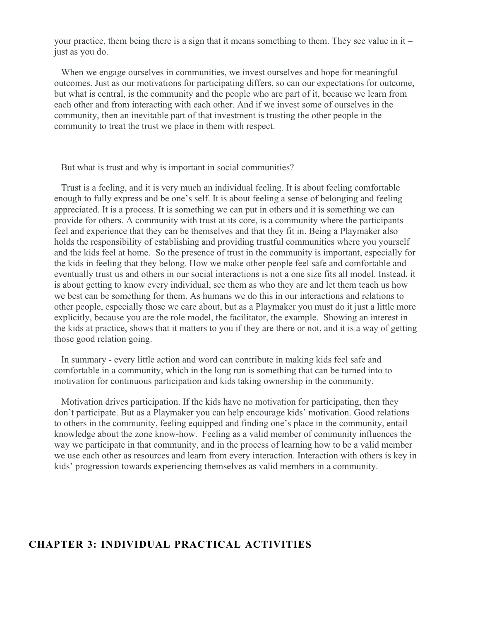your practice, them being there is a sign that it means something to them. They see value in it  $$ just as you do.

When we engage ourselves in communities, we invest ourselves and hope for meaningful outcomes. Just as our motivations for participating differs, so can our expectations for outcome, but what is central, is the community and the people who are part of it, because we learn from each other and from interacting with each other. And if we invest some of ourselves in the community, then an inevitable part of that investment is trusting the other people in the community to treat the trust we place in them with respect.

But what is trust and why is important in social communities?

Trust is a feeling, and it is very much an individual feeling. It is about feeling comfortable enough to fully express and be one's self. It is about feeling a sense of belonging and feeling appreciated. It is a process. It is something we can put in others and it is something we can provide for others. A community with trust at its core, is a community where the participants feel and experience that they can be themselves and that they fit in. Being a Playmaker also holds the responsibility of establishing and providing trustful communities where you yourself and the kids feel at home. So the presence of trust in the community is important, especially for the kids in feeling that they belong. How we make other people feel safe and comfortable and eventually trust us and others in our social interactions is not a one size fits all model. Instead, it is about getting to know every individual, see them as who they are and let them teach us how we best can be something for them. As humans we do this in our interactions and relations to other people, especially those we care about, but as a Playmaker you must do it just a little more explicitly, because you are the role model, the facilitator, the example. Showing an interest in the kids at practice, shows that it matters to you if they are there or not, and it is a way of getting those good relation going.

In summary - every little action and word can contribute in making kids feel safe and comfortable in a community, which in the long run is something that can be turned into to motivation for continuous participation and kids taking ownership in the community.

Motivation drives participation. If the kids have no motivation for participating, then they don't participate. But as a Playmaker you can help encourage kids' motivation. Good relations to others in the community, feeling equipped and finding one's place in the community, entail knowledge about the zone know-how. Feeling as a valid member of community influences the way we participate in that community, and in the process of learning how to be a valid member we use each other as resources and learn from every interaction. Interaction with others is key in kids' progression towards experiencing themselves as valid members in a community.

## **CHAPTER 3: INDIVIDUAL PRACTICAL ACTIVITIES**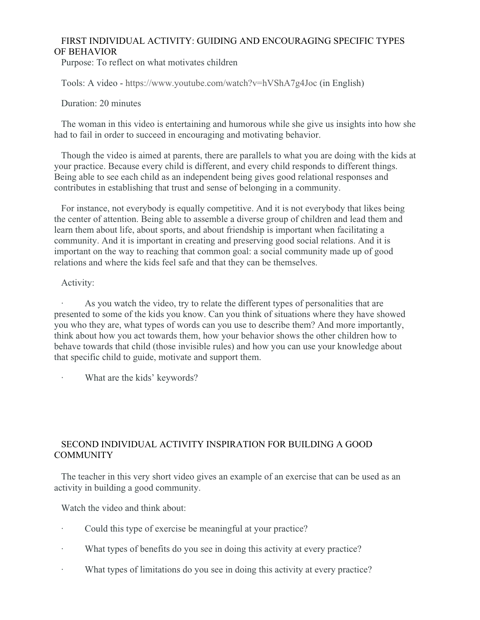## FIRST INDIVIDUAL ACTIVITY: GUIDING AND ENCOURAGING SPECIFIC TYPES OF BEHAVIOR

Purpose: To reflect on what motivates children

Tools: A video -<https://www.youtube.com/watch?v=hVShA7g4Joc>(in English)

### Duration: 20 minutes

The woman in this video is entertaining and humorous while she give us insights into how she had to fail in order to succeed in encouraging and motivating behavior.

Though the video is aimed at parents, there are parallels to what you are doing with the kids at your practice. Because every child is different, and every child responds to different things. Being able to see each child as an independent being gives good relational responses and contributes in establishing that trust and sense of belonging in a community.

For instance, not everybody is equally competitive. And it is not everybody that likes being the center of attention. Being able to assemble a diverse group of children and lead them and learn them about life, about sports, and about friendship is important when facilitating a community. And it is important in creating and preserving good social relations. And it is important on the way to reaching that common goal: a social community made up of good relations and where the kids feel safe and that they can be themselves.

### Activity:

As you watch the video, try to relate the different types of personalities that are presented to some of the kids you know. Can you think of situations where they have showed you who they are, what types of words can you use to describe them? And more importantly, think about how you act towards them, how your behavior shows the other children how to behave towards that child (those invisible rules) and how you can use your knowledge about that specific child to guide, motivate and support them.

What are the kids' keywords?

## SECOND INDIVIDUAL ACTIVITY INSPIRATION FOR BUILDING A GOOD **COMMUNITY**

The teacher in this very short video gives an example of an exercise that can be used as an activity in building a good community.

Watch the video and think about:

- Could this type of exercise be meaningful at your practice?
- What types of benefits do you see in doing this activity at every practice?
- · What types of limitations do you see in doing this activity at every practice?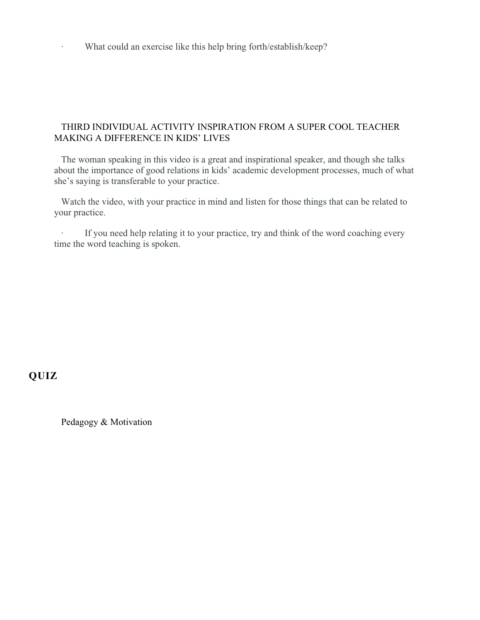· What could an exercise like this help bring forth/establish/keep?

### THIRD INDIVIDUAL ACTIVITY INSPIRATION FROM A SUPER COOL TEACHER MAKING A DIFFERENCE IN KIDS' LIVES

The woman speaking in this video is a great and inspirational speaker, and though she talks about the importance of good relations in kids' academic development processes, much of what she's saying is transferable to your practice.

Watch the video, with your practice in mind and listen for those things that can be related to your practice.

If you need help relating it to your practice, try and think of the word coaching every time the word teaching is spoken.

# **QUIZ**

Pedagogy & Motivation